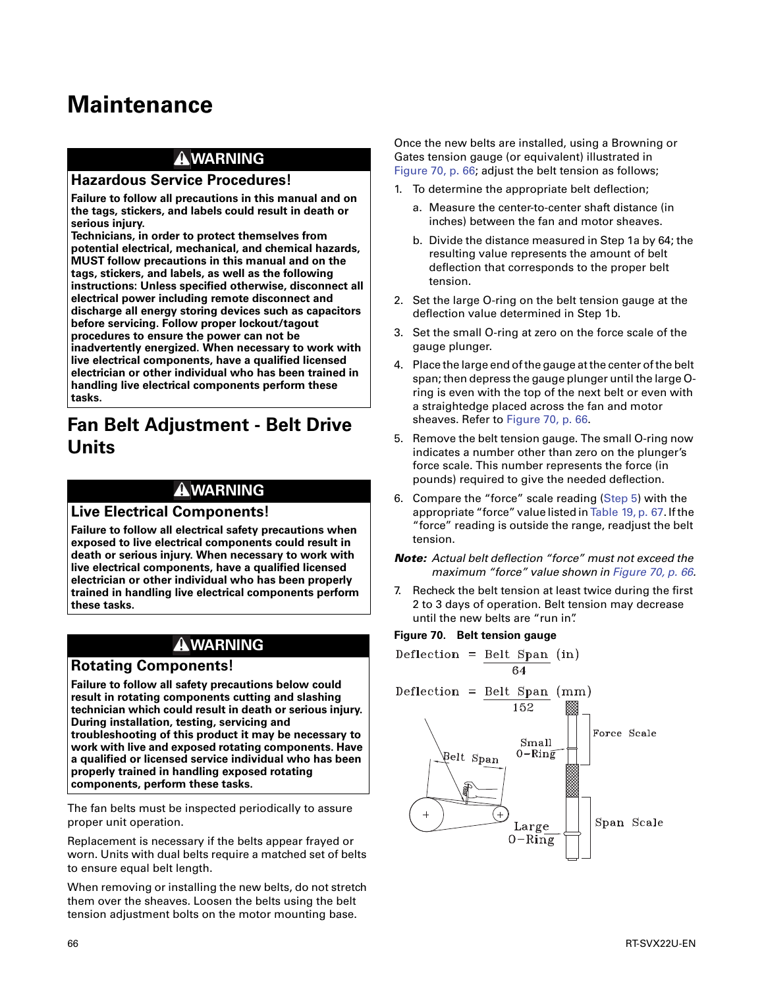# **Maintenance**

## **WARNING**

#### **Hazardous Service Procedures!**

**Failure to follow all precautions in this manual and on the tags, stickers, and labels could result in death or serious injury.**

**Technicians, in order to protect themselves from potential electrical, mechanical, and chemical hazards, MUST follow precautions in this manual and on the tags, stickers, and labels, as well as the following instructions: Unless specified otherwise, disconnect all electrical power including remote disconnect and discharge all energy storing devices such as capacitors before servicing. Follow proper lockout/tagout procedures to ensure the power can not be inadvertently energized. When necessary to work with live electrical components, have a qualified licensed electrician or other individual who has been trained in handling live electrical components perform these tasks.**

# **Fan Belt Adjustment - Belt Drive Units**

#### **WARNING**

#### **Live Electrical Components!**

**Failure to follow all electrical safety precautions when exposed to live electrical components could result in death or serious injury. When necessary to work with live electrical components, have a qualified licensed electrician or other individual who has been properly trained in handling live electrical components perform these tasks.** 

### **WARNING**

#### **Rotating Components!**

**Failure to follow all safety precautions below could result in rotating components cutting and slashing technician which could result in death or serious injury. During installation, testing, servicing and troubleshooting of this product it may be necessary to work with live and exposed rotating components. Have a qualified or licensed service individual who has been properly trained in handling exposed rotating components, perform these tasks.** 

The fan belts must be inspected periodically to assure proper unit operation.

Replacement is necessary if the belts appear frayed or worn. Units with dual belts require a matched set of belts to ensure equal belt length.

When removing or installing the new belts, do not stretch them over the sheaves. Loosen the belts using the belt tension adjustment bolts on the motor mounting base.

Once the new belts are installed, using a Browning or Gates tension gauge (or equivalent) illustrated in Figure 70, p. 66; adjust the belt tension as follows;

- 1. To determine the appropriate belt deflection;
	- a. Measure the center-to-center shaft distance (in inches) between the fan and motor sheaves.
	- b. Divide the distance measured in Step 1a by 64; the resulting value represents the amount of belt deflection that corresponds to the proper belt tension.
- 2. Set the large O-ring on the belt tension gauge at the deflection value determined in Step 1b.
- 3. Set the small O-ring at zero on the force scale of the gauge plunger.
- 4. Place the large end of the gauge at the center of the belt span; then depress the gauge plunger until the large Oring is even with the top of the next belt or even with a straightedge placed across the fan and motor sheaves. Refer to Figure 70, p. 66.
- 5. Remove the belt tension gauge. The small O-ring now indicates a number other than zero on the plunger's force scale. This number represents the force (in pounds) required to give the needed deflection.
- 6. Compare the "force" scale reading (Step 5) with the appropriate "force" value listed in Table 19, p. 67. If the "force" reading is outside the range, readjust the belt tension.
- *Note: Actual belt deflection "force" must not exceed the maximum "force" value shown in Figure 70, p. 66.*
- 7. Recheck the belt tension at least twice during the first 2 to 3 days of operation. Belt tension may decrease until the new belts are "run in".

#### **Figure 70. Belt tension gauge**

$$
Definition = \frac{Belt Span}{64} (in)
$$

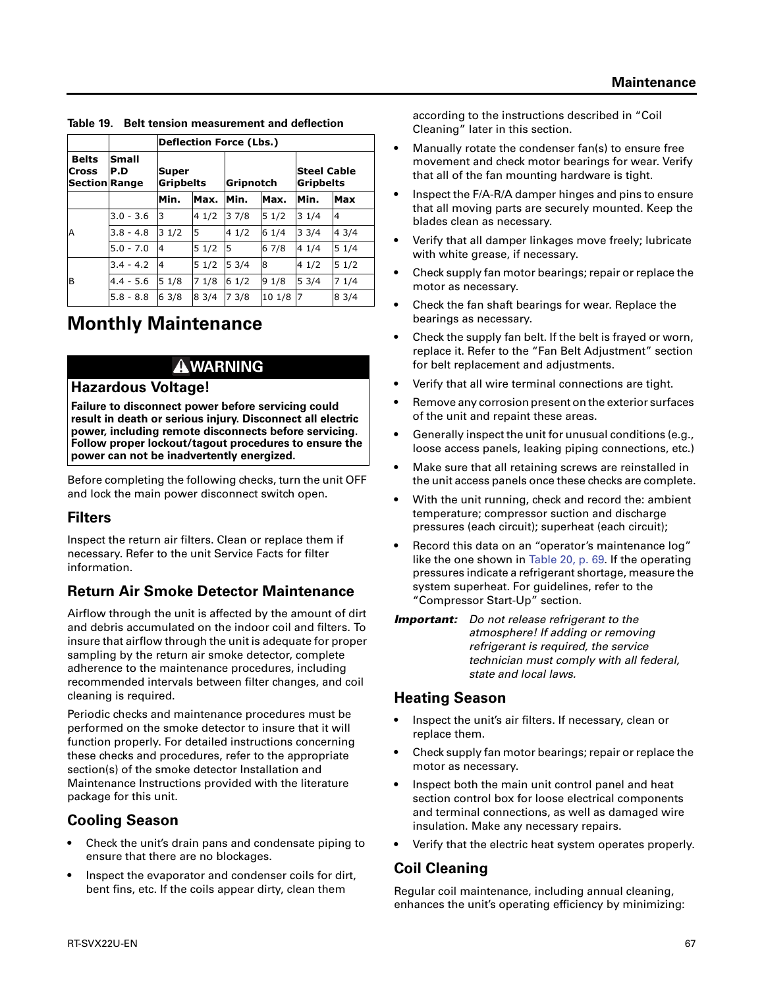|                                                      |              | <b>Deflection Force (Lbs.)</b> |      |           |        |                                 |                |  |  |
|------------------------------------------------------|--------------|--------------------------------|------|-----------|--------|---------------------------------|----------------|--|--|
| <b>Belts</b><br><b>Cross</b><br><b>Section Range</b> | Small<br>P.D | Super<br><b>Gripbelts</b>      |      | Gripnotch |        | <b>Steel Cable</b><br>Gripbelts |                |  |  |
|                                                      |              | Min.                           | Max. | Min.      | Max.   | Min.                            | Max            |  |  |
|                                                      | $3.0 - 3.6$  | 3                              | 41/2 | 37/8      | 51/2   | 31/4                            | $\overline{4}$ |  |  |
| Α                                                    | $3.8 - 4.8$  | 31/2                           | 5    | 41/2      | 61/4   | 33/4                            | 43/4           |  |  |
|                                                      | $5.0 - 7.0$  | 14                             | 51/2 | 5         | 6 7/8  | 41/4                            | 51/4           |  |  |
|                                                      | $3.4 - 4.2$  | 14                             | 51/2 | 53/4      | 18     | 41/2                            | 51/2           |  |  |
| B                                                    | $4.4 - 5.6$  | 51/8                           | 71/8 | 61/2      | 91/8   | 53/4                            | 71/4           |  |  |
|                                                      | $5.8 - 8.8$  | 63/8                           | 83/4 | 73/8      | 10 1/8 | 7                               | 83/4           |  |  |

**Table 19. Belt tension measurement and deflection**

# **Monthly Maintenance**

### **WARNING**

#### **Hazardous Voltage!**

**Failure to disconnect power before servicing could result in death or serious injury. Disconnect all electric power, including remote disconnects before servicing. Follow proper lockout/tagout procedures to ensure the power can not be inadvertently energized.** 

Before completing the following checks, turn the unit OFF and lock the main power disconnect switch open.

### **Filters**

Inspect the return air filters. Clean or replace them if necessary. Refer to the unit Service Facts for filter information.

# **Return Air Smoke Detector Maintenance**

Airflow through the unit is affected by the amount of dirt and debris accumulated on the indoor coil and filters. To insure that airflow through the unit is adequate for proper sampling by the return air smoke detector, complete adherence to the maintenance procedures, including recommended intervals between filter changes, and coil cleaning is required.

Periodic checks and maintenance procedures must be performed on the smoke detector to insure that it will function properly. For detailed instructions concerning these checks and procedures, refer to the appropriate section(s) of the smoke detector Installation and Maintenance Instructions provided with the literature package for this unit.

### **Cooling Season**

- Check the unit's drain pans and condensate piping to ensure that there are no blockages.
- Inspect the evaporator and condenser coils for dirt, bent fins, etc. If the coils appear dirty, clean them

according to the instructions described in "Coil Cleaning" later in this section.

- Manually rotate the condenser fan(s) to ensure free movement and check motor bearings for wear. Verify that all of the fan mounting hardware is tight.
- Inspect the F/A-R/A damper hinges and pins to ensure that all moving parts are securely mounted. Keep the blades clean as necessary.
- Verify that all damper linkages move freely; lubricate with white grease, if necessary.
- Check supply fan motor bearings; repair or replace the motor as necessary.
- Check the fan shaft bearings for wear. Replace the bearings as necessary.
- Check the supply fan belt. If the belt is frayed or worn, replace it. Refer to the "Fan Belt Adjustment" section for belt replacement and adjustments.
- Verify that all wire terminal connections are tight.
- Remove any corrosion present on the exterior surfaces of the unit and repaint these areas.
- Generally inspect the unit for unusual conditions (e.g., loose access panels, leaking piping connections, etc.)
- Make sure that all retaining screws are reinstalled in the unit access panels once these checks are complete.
- With the unit running, check and record the: ambient temperature; compressor suction and discharge pressures (each circuit); superheat (each circuit);
- Record this data on an "operator's maintenance log" like the one shown in Table 20, p. 69. If the operating pressures indicate a refrigerant shortage, measure the system superheat. For guidelines, refer to the "Compressor Start-Up" section.

*Important: Do not release refrigerant to the atmosphere! If adding or removing refrigerant is required, the service technician must comply with all federal, state and local laws.*

### **Heating Season**

- Inspect the unit's air filters. If necessary, clean or replace them.
- Check supply fan motor bearings; repair or replace the motor as necessary.
- Inspect both the main unit control panel and heat section control box for loose electrical components and terminal connections, as well as damaged wire insulation. Make any necessary repairs.
- Verify that the electric heat system operates properly.

# **Coil Cleaning**

Regular coil maintenance, including annual cleaning, enhances the unit's operating efficiency by minimizing: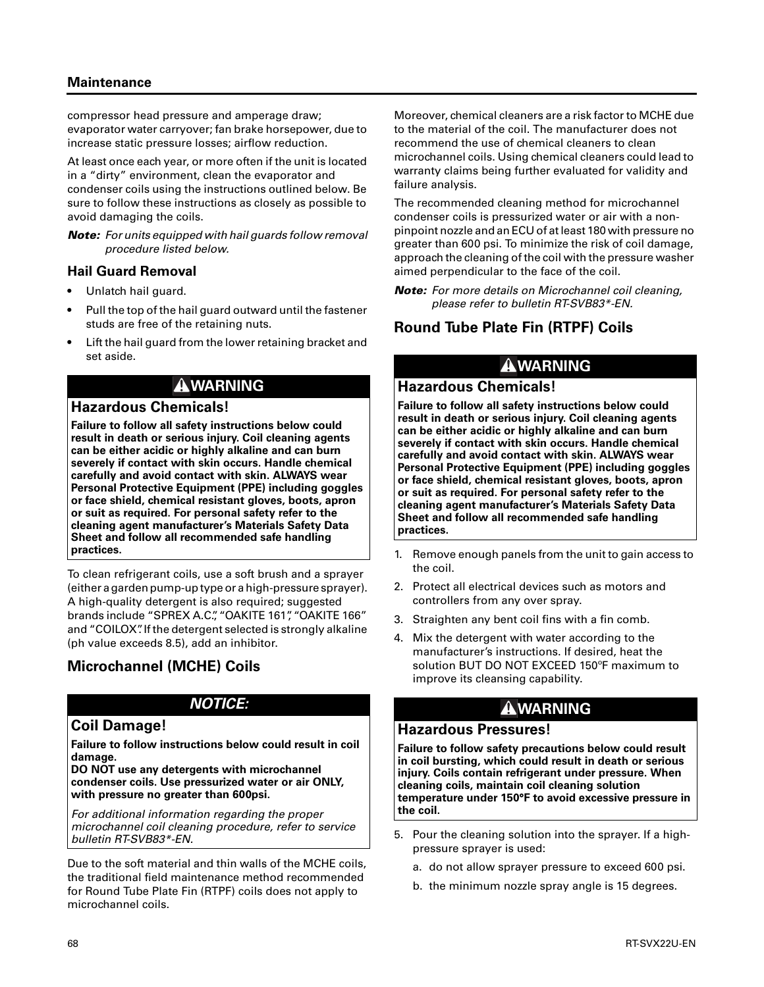#### **Maintenance**

compressor head pressure and amperage draw; evaporator water carryover; fan brake horsepower, due to increase static pressure losses; airflow reduction.

At least once each year, or more often if the unit is located in a "dirty" environment, clean the evaporator and condenser coils using the instructions outlined below. Be sure to follow these instructions as closely as possible to avoid damaging the coils.

*Note: For units equipped with hail guards follow removal procedure listed below.* 

#### **Hail Guard Removal**

- Unlatch hail guard.
- Pull the top of the hail guard outward until the fastener studs are free of the retaining nuts.
- Lift the hail guard from the lower retaining bracket and set aside.

### **WARNING**

#### **Hazardous Chemicals!**

**Failure to follow all safety instructions below could result in death or serious injury. Coil cleaning agents can be either acidic or highly alkaline and can burn severely if contact with skin occurs. Handle chemical carefully and avoid contact with skin. ALWAYS wear Personal Protective Equipment (PPE) including goggles or face shield, chemical resistant gloves, boots, apron or suit as required. For personal safety refer to the cleaning agent manufacturer's Materials Safety Data Sheet and follow all recommended safe handling practices.** 

To clean refrigerant coils, use a soft brush and a sprayer (either a garden pump-up type or a high-pressure sprayer). A high-quality detergent is also required; suggested brands include "SPREX A.C.", "OAKITE 161", "OAKITE 166" and "COILOX". If the detergent selected is strongly alkaline (ph value exceeds 8.5), add an inhibitor.

# **Microchannel (MCHE) Coils**

### *NOTICE:*

#### **Coil Damage!**

**Failure to follow instructions below could result in coil damage.** 

**DO NOT use any detergents with microchannel condenser coils. Use pressurized water or air ONLY, with pressure no greater than 600psi.** 

*For additional information regarding the proper microchannel coil cleaning procedure, refer to service bulletin RT-SVB83\*-EN.*

Due to the soft material and thin walls of the MCHE coils, the traditional field maintenance method recommended for Round Tube Plate Fin (RTPF) coils does not apply to microchannel coils.

Moreover, chemical cleaners are a risk factor to MCHE due to the material of the coil. The manufacturer does not recommend the use of chemical cleaners to clean microchannel coils. Using chemical cleaners could lead to warranty claims being further evaluated for validity and failure analysis.

The recommended cleaning method for microchannel condenser coils is pressurized water or air with a nonpinpoint nozzle and an ECU of at least 180 with pressure no greater than 600 psi. To minimize the risk of coil damage, approach the cleaning of the coil with the pressure washer aimed perpendicular to the face of the coil.

*Note: For more details on Microchannel coil cleaning, please refer to bulletin RT-SVB83\*-EN.*

# **Round Tube Plate Fin (RTPF) Coils**

# **WARNING**

#### **Hazardous Chemicals!**

**Failure to follow all safety instructions below could result in death or serious injury. Coil cleaning agents can be either acidic or highly alkaline and can burn severely if contact with skin occurs. Handle chemical carefully and avoid contact with skin. ALWAYS wear Personal Protective Equipment (PPE) including goggles or face shield, chemical resistant gloves, boots, apron or suit as required. For personal safety refer to the cleaning agent manufacturer's Materials Safety Data Sheet and follow all recommended safe handling practices.** 

- 1. Remove enough panels from the unit to gain access to the coil.
- 2. Protect all electrical devices such as motors and controllers from any over spray.
- 3. Straighten any bent coil fins with a fin comb.
- 4. Mix the detergent with water according to the manufacturer's instructions. If desired, heat the solution BUT DO NOT EXCEED 150ºF maximum to improve its cleansing capability.

# **WARNING**

#### **Hazardous Pressures!**

**Failure to follow safety precautions below could result in coil bursting, which could result in death or serious injury. Coils contain refrigerant under pressure. When cleaning coils, maintain coil cleaning solution temperature under 150°F to avoid excessive pressure in the coil.** 

- 5. Pour the cleaning solution into the sprayer. If a highpressure sprayer is used:
	- a. do not allow sprayer pressure to exceed 600 psi.
	- b. the minimum nozzle spray angle is 15 degrees.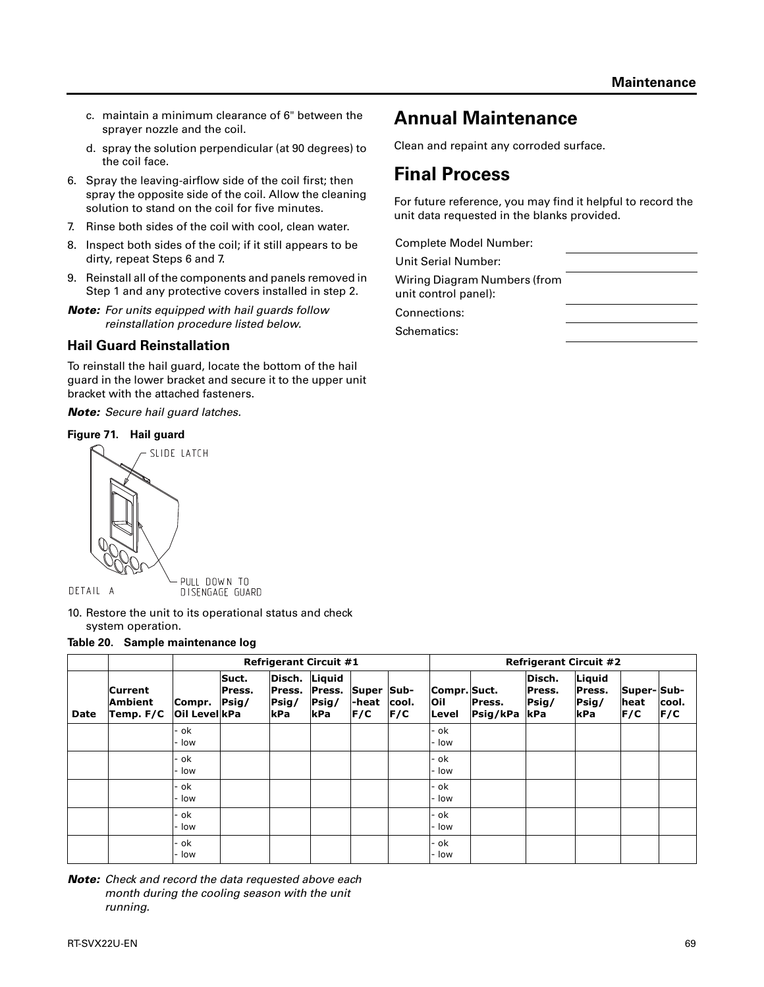- c. maintain a minimum clearance of 6" between the sprayer nozzle and the coil.
- d. spray the solution perpendicular (at 90 degrees) to the coil face.
- 6. Spray the leaving-airflow side of the coil first; then spray the opposite side of the coil. Allow the cleaning solution to stand on the coil for five minutes.
- 7. Rinse both sides of the coil with cool, clean water.
- 8. Inspect both sides of the coil; if it still appears to be dirty, repeat Steps 6 and 7.
- 9. Reinstall all of the components and panels removed in Step 1 and any protective covers installed in step 2.
- *Note: For units equipped with hail guards follow reinstallation procedure listed below.*

#### **Hail Guard Reinstallation**

To reinstall the hail guard, locate the bottom of the hail guard in the lower bracket and secure it to the upper unit bracket with the attached fasteners.

*Note: Secure hail guard latches.*

#### **Figure 71. Hail guard**



DETAIL A

DISENGAGE GUARD

10. Restore the unit to its operational status and check system operation.

#### **Table 20. Sample maintenance log**

|             |                                               |                               | <b>Refrigerant Circuit #1</b> |                                         |                                  |                            |              |                              | <b>Refrigerant Circuit #2</b> |                                  |                                     |                           |               |  |
|-------------|-----------------------------------------------|-------------------------------|-------------------------------|-----------------------------------------|----------------------------------|----------------------------|--------------|------------------------------|-------------------------------|----------------------------------|-------------------------------------|---------------------------|---------------|--|
| <b>Date</b> | <b>Current</b><br><b>Ambient</b><br>Temp. F/C | Compr. Psig/<br>Oil Level kPa | Suct.<br>Press.               | Disch.<br>Press.<br>Psig/<br><b>kPa</b> | Liquid<br>Press.<br>Psig/<br>kPa | Super Sub-<br>-heat<br>F/C | cool.<br>F/C | Compr. Suct.<br>Oil<br>Level | Press.<br>Psig/kPa            | Disch.<br>Press.<br>Psig/<br>kPa | Liquid<br>Press.<br>$P$ sig/<br>kPa | Super-Sub-<br>heat<br>F/C | cool.<br> F/C |  |
|             |                                               | - ok<br>- Iow                 |                               |                                         |                                  |                            |              | - ok<br>- Iow                |                               |                                  |                                     |                           |               |  |
|             |                                               | - ok<br>low                   |                               |                                         |                                  |                            |              | - ok<br>- Iow                |                               |                                  |                                     |                           |               |  |
|             |                                               | - ok<br>- Iow                 |                               |                                         |                                  |                            |              | - ok<br>- Iow                |                               |                                  |                                     |                           |               |  |
|             |                                               | - ok<br>low                   |                               |                                         |                                  |                            |              | - ok<br>- Iow                |                               |                                  |                                     |                           |               |  |
|             |                                               | - ok<br>low                   |                               |                                         |                                  |                            |              | - ok<br>- Iow                |                               |                                  |                                     |                           |               |  |

*Note: Check and record the data requested above each month during the cooling season with the unit running.*

# **Annual Maintenance**

Clean and repaint any corroded surface.

# **Final Process**

For future reference, you may find it helpful to record the unit data requested in the blanks provided.

Complete Model Number:

Unit Serial Number:

Wiring Diagram Numbers (from unit control panel):

Connections:

Schematics: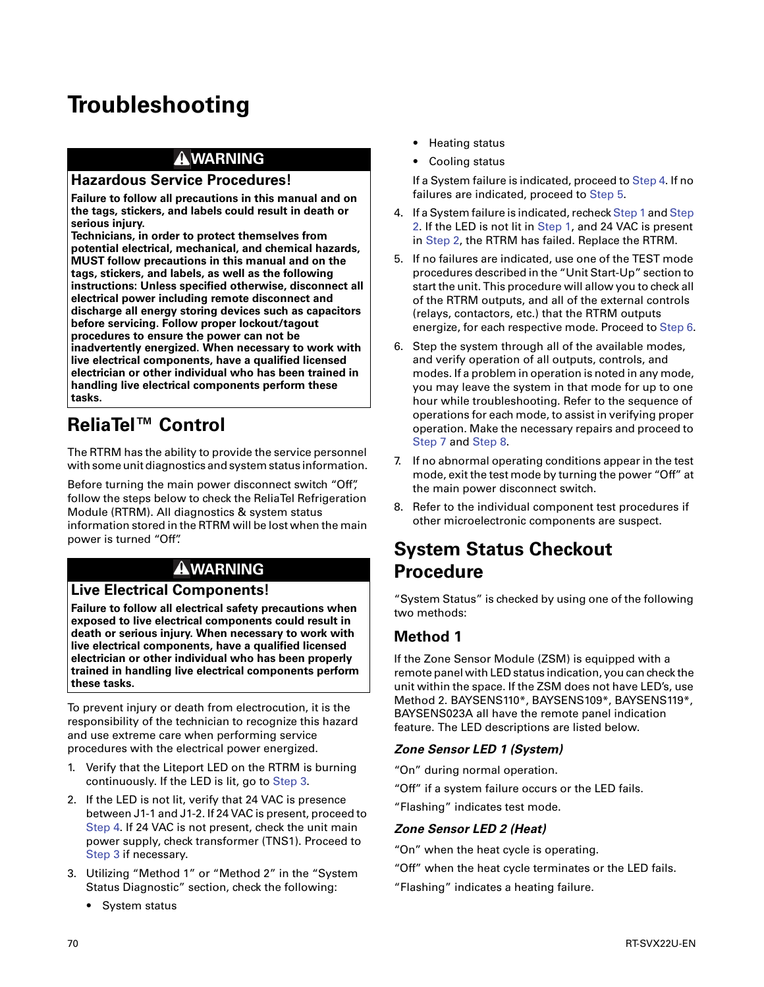# **Troubleshooting**

## **WARNING**

#### **Hazardous Service Procedures!**

**Failure to follow all precautions in this manual and on the tags, stickers, and labels could result in death or serious injury.**

**Technicians, in order to protect themselves from potential electrical, mechanical, and chemical hazards, MUST follow precautions in this manual and on the tags, stickers, and labels, as well as the following instructions: Unless specified otherwise, disconnect all electrical power including remote disconnect and discharge all energy storing devices such as capacitors before servicing. Follow proper lockout/tagout procedures to ensure the power can not be inadvertently energized. When necessary to work with live electrical components, have a qualified licensed electrician or other individual who has been trained in handling live electrical components perform these tasks.**

# **ReliaTel™ Control**

The RTRM has the ability to provide the service personnel with some unit diagnostics and system status information.

Before turning the main power disconnect switch "Off", follow the steps below to check the ReliaTel Refrigeration Module (RTRM). All diagnostics & system status information stored in the RTRM will be lost when the main power is turned "Off".

# **WARNING**

#### **Live Electrical Components!**

**Failure to follow all electrical safety precautions when exposed to live electrical components could result in death or serious injury. When necessary to work with live electrical components, have a qualified licensed electrician or other individual who has been properly trained in handling live electrical components perform these tasks.** 

To prevent injury or death from electrocution, it is the responsibility of the technician to recognize this hazard and use extreme care when performing service procedures with the electrical power energized.

- 1. Verify that the Liteport LED on the RTRM is burning continuously. If the LED is lit, go to Step 3.
- 2. If the LED is not lit, verify that 24 VAC is presence between J1-1 and J1-2. If 24 VAC is present, proceed to Step 4. If 24 VAC is not present, check the unit main power supply, check transformer (TNS1). Proceed to Step 3 if necessary.
- 3. Utilizing "Method 1" or "Method 2" in the "System Status Diagnostic" section, check the following:
	- **•** System status
- **•** Heating status
- **•** Cooling status

If a System failure is indicated, proceed to Step 4. If no failures are indicated, proceed to Step 5.

- 4. If a System failure is indicated, recheck Step 1 and Step 2. If the LED is not lit in Step 1, and 24 VAC is present in Step 2, the RTRM has failed. Replace the RTRM.
- 5. If no failures are indicated, use one of the TEST mode procedures described in the "Unit Start-Up" section to start the unit. This procedure will allow you to check all of the RTRM outputs, and all of the external controls (relays, contactors, etc.) that the RTRM outputs energize, for each respective mode. Proceed to Step 6.
- 6. Step the system through all of the available modes, and verify operation of all outputs, controls, and modes. If a problem in operation is noted in any mode, you may leave the system in that mode for up to one hour while troubleshooting. Refer to the sequence of operations for each mode, to assist in verifying proper operation. Make the necessary repairs and proceed to Step 7 and Step 8.
- 7. If no abnormal operating conditions appear in the test mode, exit the test mode by turning the power "Off" at the main power disconnect switch.
- 8. Refer to the individual component test procedures if other microelectronic components are suspect.

# **System Status Checkout Procedure**

"System Status" is checked by using one of the following two methods:

# **Method 1**

If the Zone Sensor Module (ZSM) is equipped with a remote panel with LED status indication, you can check the unit within the space. If the ZSM does not have LED's, use Method 2. BAYSENS110\*, BAYSENS109\*, BAYSENS119\*, BAYSENS023A all have the remote panel indication feature. The LED descriptions are listed below.

#### *Zone Sensor LED 1 (System)*

"On" during normal operation.

"Off" if a system failure occurs or the LED fails.

"Flashing" indicates test mode.

#### *Zone Sensor LED 2 (Heat)*

- "On" when the heat cycle is operating.
- "Off" when the heat cycle terminates or the LED fails.
- "Flashing" indicates a heating failure.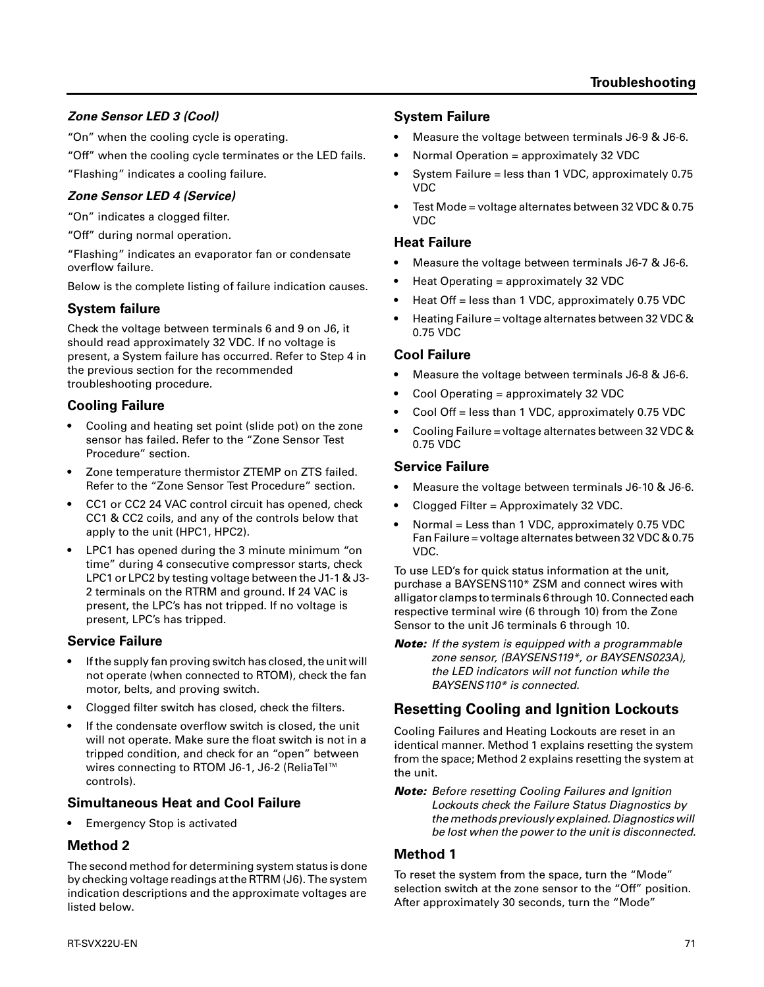# *Zone Sensor LED 3 (Cool)*

"On" when the cooling cycle is operating.

"Off" when the cooling cycle terminates or the LED fails.

"Flashing" indicates a cooling failure.

## *Zone Sensor LED 4 (Service)*

"On" indicates a clogged filter.

"Off" during normal operation.

"Flashing" indicates an evaporator fan or condensate overflow failure.

Below is the complete listing of failure indication causes.

# **System failure**

Check the voltage between terminals 6 and 9 on J6, it should read approximately 32 VDC. If no voltage is present, a System failure has occurred. Refer to Step 4 in the previous section for the recommended troubleshooting procedure.

# **Cooling Failure**

- Cooling and heating set point (slide pot) on the zone sensor has failed. Refer to the "Zone Sensor Test Procedure" section.
- Zone temperature thermistor ZTEMP on ZTS failed. Refer to the "Zone Sensor Test Procedure" section.
- CC1 or CC2 24 VAC control circuit has opened, check CC1 & CC2 coils, and any of the controls below that apply to the unit (HPC1, HPC2).
- LPC1 has opened during the 3 minute minimum "on time" during 4 consecutive compressor starts, check LPC1 or LPC2 by testing voltage between the J1-1 & J3- 2 terminals on the RTRM and ground. If 24 VAC is present, the LPC's has not tripped. If no voltage is present, LPC's has tripped.

# **Service Failure**

- If the supply fan proving switch has closed, the unit will not operate (when connected to RTOM), check the fan motor, belts, and proving switch.
- Clogged filter switch has closed, check the filters.
- If the condensate overflow switch is closed, the unit will not operate. Make sure the float switch is not in a tripped condition, and check for an "open" between wires connecting to RTOM J6-1, J6-2 (ReliaTel<sup>™</sup> controls).

# **Simultaneous Heat and Cool Failure**

• Emergency Stop is activated

# **Method 2**

The second method for determining system status is done by checking voltage readings at the RTRM (J6). The system indication descriptions and the approximate voltages are listed below.

## **System Failure**

- Measure the voltage between terminals J6-9 & J6-6.
- Normal Operation = approximately 32 VDC
- System Failure = less than 1 VDC, approximately 0.75 VDC
- Test Mode = voltage alternates between 32 VDC & 0.75 VDC

#### **Heat Failure**

- Measure the voltage between terminals J6-7 & J6-6.
- Heat Operating = approximately 32 VDC
- Heat Off = less than 1 VDC, approximately 0.75 VDC
- Heating Failure = voltage alternates between 32 VDC & 0.75 VDC

#### **Cool Failure**

- Measure the voltage between terminals J6-8 & J6-6.
- Cool Operating = approximately 32 VDC
- Cool Off = less than 1 VDC, approximately 0.75 VDC
- Cooling Failure = voltage alternates between 32 VDC & 0.75 VDC

#### **Service Failure**

- Measure the voltage between terminals J6-10 & J6-6.
- Clogged Filter = Approximately 32 VDC.
- Normal = Less than 1 VDC, approximately 0.75 VDC Fan Failure = voltage alternates between 32 VDC & 0.75 VDC.

To use LED's for quick status information at the unit, purchase a BAYSENS110\* ZSM and connect wires with alligator clamps to terminals 6 through 10. Connected each respective terminal wire (6 through 10) from the Zone Sensor to the unit J6 terminals 6 through 10.

*Note: If the system is equipped with a programmable zone sensor, (BAYSENS119\*, or BAYSENS023A), the LED indicators will not function while the BAYSENS110\* is connected.*

# **Resetting Cooling and Ignition Lockouts**

Cooling Failures and Heating Lockouts are reset in an identical manner. Method 1 explains resetting the system from the space; Method 2 explains resetting the system at the unit.

*Note: Before resetting Cooling Failures and Ignition Lockouts check the Failure Status Diagnostics by the methods previously explained. Diagnostics will be lost when the power to the unit is disconnected.*

### **Method 1**

To reset the system from the space, turn the "Mode" selection switch at the zone sensor to the "Off" position. After approximately 30 seconds, turn the "Mode"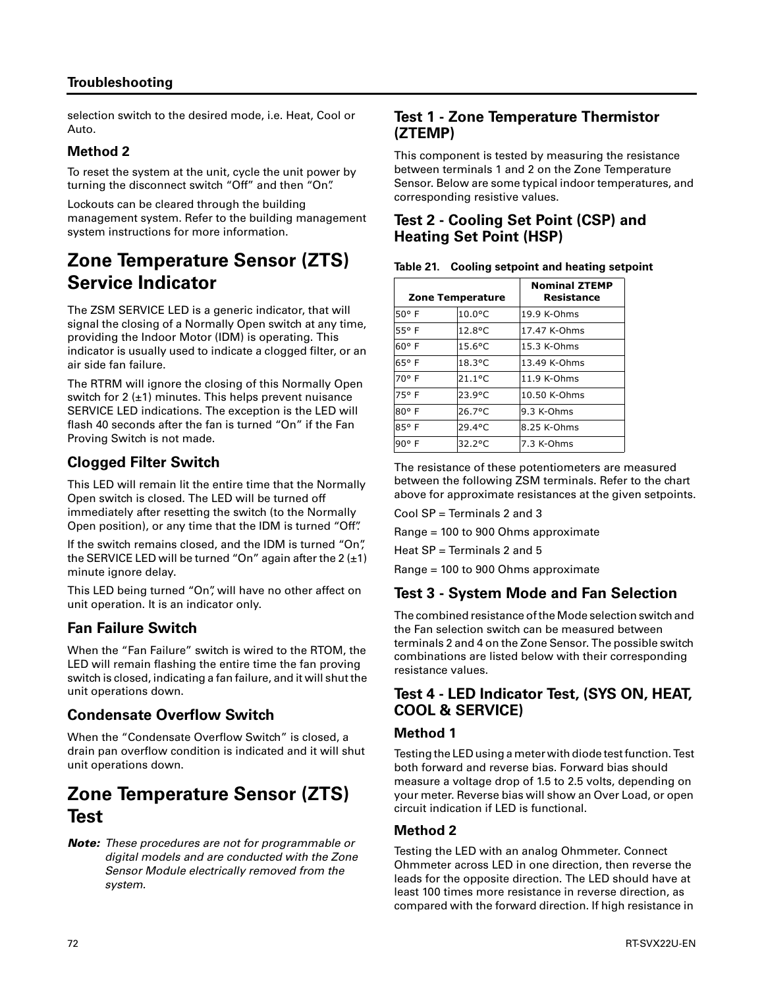#### **Troubleshooting**

selection switch to the desired mode, i.e. Heat, Cool or Auto.

#### **Method 2**

To reset the system at the unit, cycle the unit power by turning the disconnect switch "Off" and then "On".

Lockouts can be cleared through the building management system. Refer to the building management system instructions for more information.

# **Zone Temperature Sensor (ZTS) Service Indicator**

The ZSM SERVICE LED is a generic indicator, that will signal the closing of a Normally Open switch at any time, providing the Indoor Motor (IDM) is operating. This indicator is usually used to indicate a clogged filter, or an air side fan failure.

The RTRM will ignore the closing of this Normally Open switch for 2 (±1) minutes. This helps prevent nuisance SERVICE LED indications. The exception is the LED will flash 40 seconds after the fan is turned "On" if the Fan Proving Switch is not made.

## **Clogged Filter Switch**

This LED will remain lit the entire time that the Normally Open switch is closed. The LED will be turned off immediately after resetting the switch (to the Normally Open position), or any time that the IDM is turned "Off".

If the switch remains closed, and the IDM is turned "On", the SERVICE LED will be turned "On" again after the  $2 (+1)$ minute ignore delay.

This LED being turned "On", will have no other affect on unit operation. It is an indicator only.

### **Fan Failure Switch**

When the "Fan Failure" switch is wired to the RTOM, the LED will remain flashing the entire time the fan proving switch is closed, indicating a fan failure, and it will shut the unit operations down.

#### **Condensate Overflow Switch**

When the "Condensate Overflow Switch" is closed, a drain pan overflow condition is indicated and it will shut unit operations down.

# **Zone Temperature Sensor (ZTS) Test**

#### *Note: These procedures are not for programmable or digital models and are conducted with the Zone Sensor Module electrically removed from the system.*

#### **Test 1 - Zone Temperature Thermistor (ZTEMP)**

This component is tested by measuring the resistance between terminals 1 and 2 on the Zone Temperature Sensor. Below are some typical indoor temperatures, and corresponding resistive values.

### **Test 2 - Cooling Set Point (CSP) and Heating Set Point (HSP)**

|                | Zone Temperature | <b>Nominal ZTEMP</b><br>Resistance |
|----------------|------------------|------------------------------------|
| $50°$ F        | $10.0$ °C        | 19.9 K-Ohms                        |
| 55° F          | $12.8^{\circ}$ C | 17.47 K-Ohms                       |
| $60^{\circ}$ F | $15.6$ °C        | 15.3 K-Ohms                        |
| 65° F          | $18.3$ °C        | 13.49 K-Ohms                       |
| 70° F          | $21.1$ °C        | $11.9$ K-Ohms                      |
| 75° F          | 23.9°C           | 10.50 K-Ohms                       |
| $80°$ F        | $26.7$ °C        | 9.3 K-Ohms                         |
| 85°F           | 29.4°C           | 8.25 K-Ohms                        |
| 90° F          | $32.2^{\circ}$ C | $7.3$ K-Ohms                       |

The resistance of these potentiometers are measured between the following ZSM terminals. Refer to the chart above for approximate resistances at the given setpoints.

Cool SP = Terminals 2 and 3

Range = 100 to 900 Ohms approximate

Heat SP = Terminals 2 and 5

Range = 100 to 900 Ohms approximate

### **Test 3 - System Mode and Fan Selection**

The combined resistance of the Mode selection switch and the Fan selection switch can be measured between terminals 2 and 4 on the Zone Sensor. The possible switch combinations are listed below with their corresponding resistance values.

#### **Test 4 - LED Indicator Test, (SYS ON, HEAT, COOL & SERVICE)**

#### **Method 1**

Testing the LED using a meter with diode test function. Test both forward and reverse bias. Forward bias should measure a voltage drop of 1.5 to 2.5 volts, depending on your meter. Reverse bias will show an Over Load, or open circuit indication if LED is functional.

#### **Method 2**

Testing the LED with an analog Ohmmeter. Connect Ohmmeter across LED in one direction, then reverse the leads for the opposite direction. The LED should have at least 100 times more resistance in reverse direction, as compared with the forward direction. If high resistance in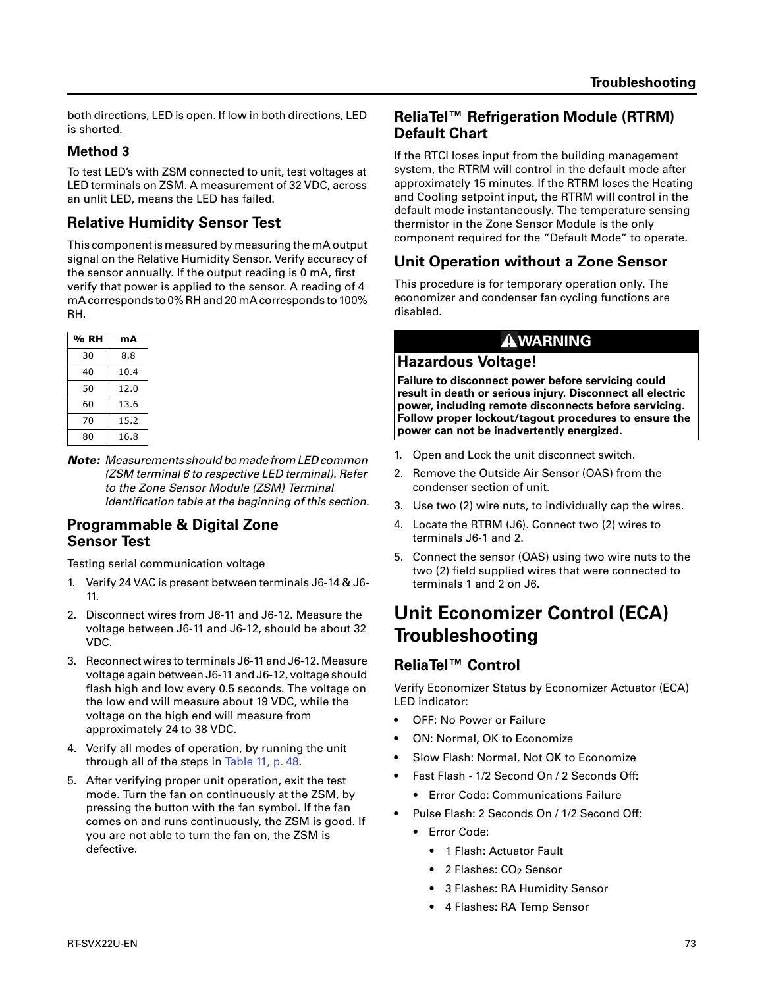both directions, LED is open. If low in both directions, LED is shorted.

#### **Method 3**

To test LED's with ZSM connected to unit, test voltages at LED terminals on ZSM. A measurement of 32 VDC, across an unlit LED, means the LED has failed.

## **Relative Humidity Sensor Test**

This component is measured by measuring the mA output signal on the Relative Humidity Sensor. Verify accuracy of the sensor annually. If the output reading is 0 mA, first verify that power is applied to the sensor. A reading of 4 mA corresponds to 0% RH and 20 mA corresponds to 100% RH.

| % RH | mА   |
|------|------|
| 30   | 8.8  |
| 40   | 10.4 |
| 50   | 12.0 |
| 60   | 13.6 |
| 70   | 15.2 |
| 80   | 16.8 |

*Note: Measurements should be made from LED common (ZSM terminal 6 to respective LED terminal). Refer to the Zone Sensor Module (ZSM) Terminal Identification table at the beginning of this section.*

#### **Programmable & Digital Zone Sensor Test**

Testing serial communication voltage

- 1. Verify 24 VAC is present between terminals J6-14 & J6- 11.
- 2. Disconnect wires from J6-11 and J6-12. Measure the voltage between J6-11 and J6-12, should be about 32 VDC.
- 3. Reconnect wires to terminals J6-11 and J6-12. Measure voltage again between J6-11 and J6-12, voltage should flash high and low every 0.5 seconds. The voltage on the low end will measure about 19 VDC, while the voltage on the high end will measure from approximately 24 to 38 VDC.
- 4. Verify all modes of operation, by running the unit through all of the steps in Table 11, p. 48.
- 5. After verifying proper unit operation, exit the test mode. Turn the fan on continuously at the ZSM, by pressing the button with the fan symbol. If the fan comes on and runs continuously, the ZSM is good. If you are not able to turn the fan on, the ZSM is defective.

#### **ReliaTel™ Refrigeration Module (RTRM) Default Chart**

If the RTCI loses input from the building management system, the RTRM will control in the default mode after approximately 15 minutes. If the RTRM loses the Heating and Cooling setpoint input, the RTRM will control in the default mode instantaneously. The temperature sensing thermistor in the Zone Sensor Module is the only component required for the "Default Mode" to operate.

# **Unit Operation without a Zone Sensor**

This procedure is for temporary operation only. The economizer and condenser fan cycling functions are disabled.

## **WARNING**

#### **Hazardous Voltage!**

**Failure to disconnect power before servicing could result in death or serious injury. Disconnect all electric power, including remote disconnects before servicing. Follow proper lockout/tagout procedures to ensure the power can not be inadvertently energized.** 

- 1. Open and Lock the unit disconnect switch.
- 2. Remove the Outside Air Sensor (OAS) from the condenser section of unit.
- 3. Use two (2) wire nuts, to individually cap the wires.
- 4. Locate the RTRM (J6). Connect two (2) wires to terminals J6-1 and 2.
- 5. Connect the sensor (OAS) using two wire nuts to the two (2) field supplied wires that were connected to terminals 1 and 2 on J6.

# **Unit Economizer Control (ECA) Troubleshooting**

# **ReliaTel™ Control**

Verify Economizer Status by Economizer Actuator (ECA) LED indicator:

- OFF: No Power or Failure
- ON: Normal, OK to Economize
- Slow Flash: Normal, Not OK to Economize
- Fast Flash 1/2 Second On / 2 Seconds Off:
	- **•** Error Code: Communications Failure
- Pulse Flash: 2 Seconds On / 1/2 Second Off:
	- **•** Error Code:
		- **•** 1 Flash: Actuator Fault
		- 2 Flashes: CO<sub>2</sub> Sensor
		- **•** 3 Flashes: RA Humidity Sensor
		- **•** 4 Flashes: RA Temp Sensor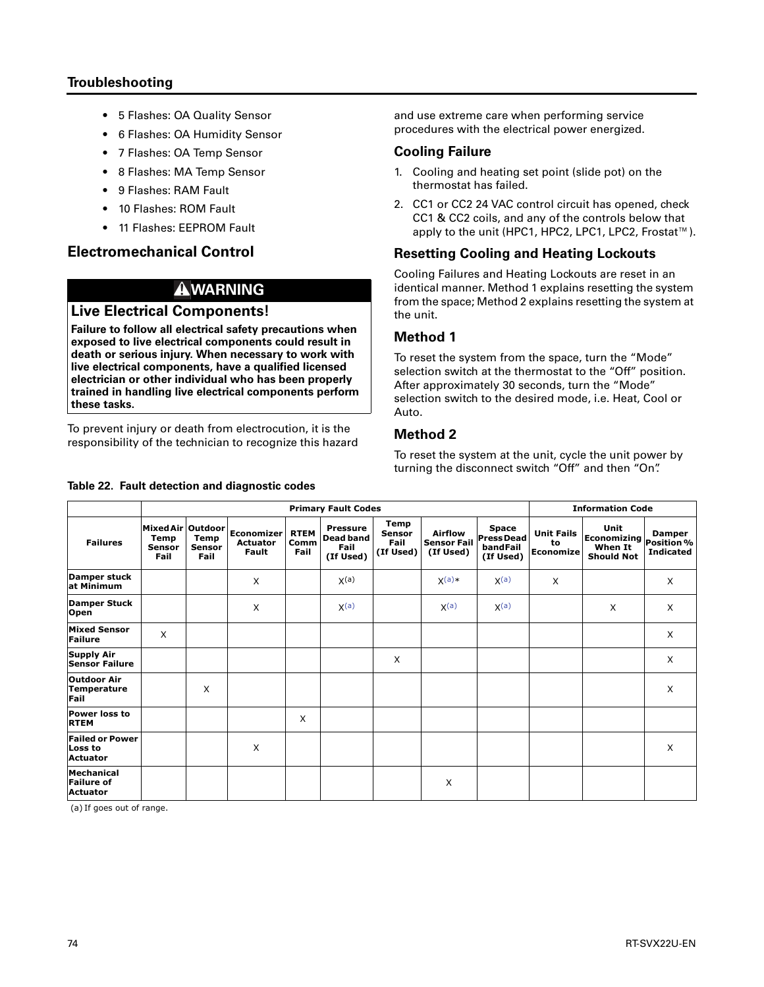#### **Troubleshooting**

- **•** 5 Flashes: OA Quality Sensor
- **•** 6 Flashes: OA Humidity Sensor
- **•** 7 Flashes: OA Temp Sensor
- **•** 8 Flashes: MA Temp Sensor
- **•** 9 Flashes: RAM Fault
- **•** 10 Flashes: ROM Fault
- **•** 11 Flashes: EEPROM Fault

#### **Electromechanical Control**

## **WARNING**

#### **Live Electrical Components!**

**Failure to follow all electrical safety precautions when exposed to live electrical components could result in death or serious injury. When necessary to work with live electrical components, have a qualified licensed electrician or other individual who has been properly trained in handling live electrical components perform these tasks.** 

To prevent injury or death from electrocution, it is the responsibility of the technician to recognize this hazard

#### **Table 22. Fault detection and diagnostic codes**

and use extreme care when performing service procedures with the electrical power energized.

#### **Cooling Failure**

- 1. Cooling and heating set point (slide pot) on the thermostat has failed.
- 2. CC1 or CC2 24 VAC control circuit has opened, check CC1 & CC2 coils, and any of the controls below that apply to the unit (HPC1, HPC2, LPC1, LPC2, Frostat™).

#### **Resetting Cooling and Heating Lockouts**

Cooling Failures and Heating Lockouts are reset in an identical manner. Method 1 explains resetting the system from the space; Method 2 explains resetting the system at the unit.

#### **Method 1**

To reset the system from the space, turn the "Mode" selection switch at the thermostat to the "Off" position. After approximately 30 seconds, turn the "Mode" selection switch to the desired mode, i.e. Heat, Cool or Auto.

#### **Method 2**

To reset the system at the unit, cycle the unit power by turning the disconnect switch "Off" and then "On".

|                                                      |                                                    |                        |                                        |                             | <b>Information Code</b>                                  |                                            |                                                   |                                                    |                                      |                                                                |                                   |
|------------------------------------------------------|----------------------------------------------------|------------------------|----------------------------------------|-----------------------------|----------------------------------------------------------|--------------------------------------------|---------------------------------------------------|----------------------------------------------------|--------------------------------------|----------------------------------------------------------------|-----------------------------------|
| <b>Failures</b>                                      | Mixed Air Outdoor<br>Temp<br><b>Sensor</b><br>Fail | Temp<br>Sensor<br>Fail | Economizer<br><b>Actuator</b><br>Fault | <b>RTEM</b><br>Comm<br>Fail | <b>Pressure</b><br><b>Dead band</b><br>Fail<br>(If Used) | Temp<br><b>Sensor</b><br>Fail<br>(If Used) | <b>Airflow</b><br><b>Sensor Fail</b><br>(If Used) | Space<br><b>PressDead</b><br>bandFail<br>(If Used) | <b>Unit Fails</b><br>to<br>Economize | Unit<br>Economizing Position %<br>When It<br><b>Should Not</b> | <b>Damper</b><br><b>Indicated</b> |
| <b>Damper stuck</b><br>at Minimum                    |                                                    |                        | X                                      |                             | X(a)                                                     |                                            | $X(a)*$                                           | X(a)                                               | X                                    |                                                                | X                                 |
| <b>Damper Stuck</b><br>Open                          |                                                    |                        | X                                      |                             | X(a)                                                     |                                            | X <sup>(a)</sup>                                  | X <sup>(a)</sup>                                   |                                      | X                                                              | X                                 |
| <b>Mixed Sensor</b><br>Failure                       | X                                                  |                        |                                        |                             |                                                          |                                            |                                                   |                                                    |                                      |                                                                | X                                 |
| <b>Supply Air</b><br><b>Sensor Failure</b>           |                                                    |                        |                                        |                             |                                                          | X                                          |                                                   |                                                    |                                      |                                                                | X                                 |
| <b>Outdoor Air</b><br>Temperature<br>Fail            |                                                    | X                      |                                        |                             |                                                          |                                            |                                                   |                                                    |                                      |                                                                | X                                 |
| <b>Power loss to</b><br><b>RTEM</b>                  |                                                    |                        |                                        | X                           |                                                          |                                            |                                                   |                                                    |                                      |                                                                |                                   |
| <b>Failed or Power</b><br>Loss to<br><b>Actuator</b> |                                                    |                        | X                                      |                             |                                                          |                                            |                                                   |                                                    |                                      |                                                                | X                                 |
| Mechanical<br><b>Failure of</b><br><b>Actuator</b>   |                                                    |                        |                                        |                             |                                                          |                                            | X                                                 |                                                    |                                      |                                                                |                                   |

(a) If goes out of range.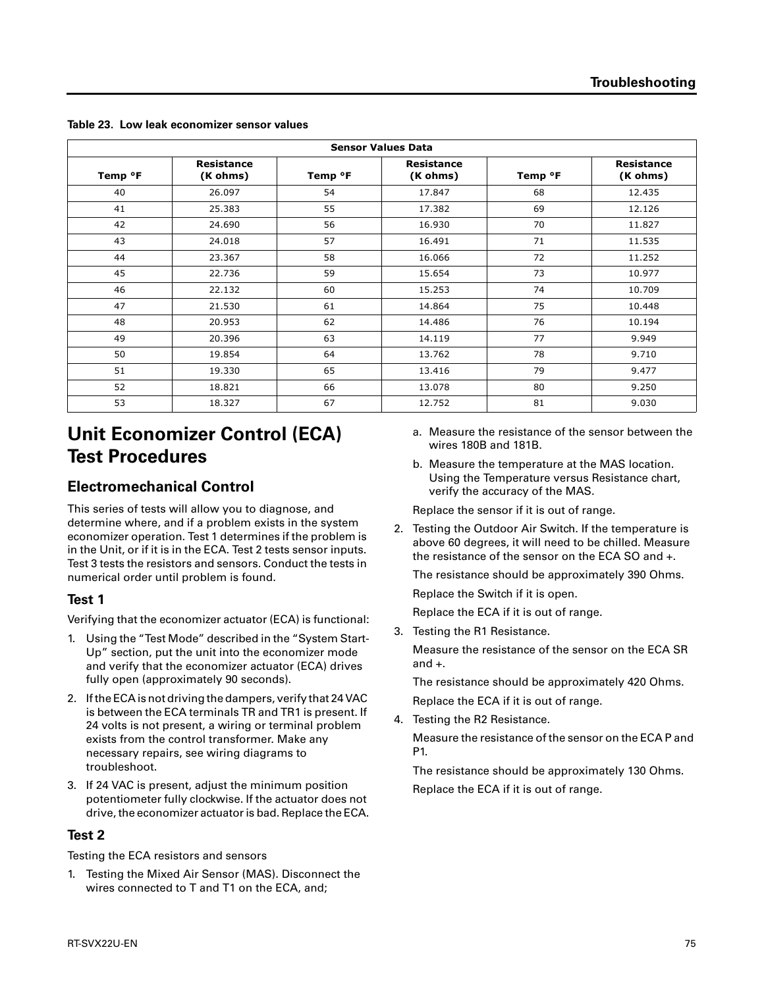|                     | <b>Sensor Values Data</b>     |         |                               |         |                        |  |  |  |
|---------------------|-------------------------------|---------|-------------------------------|---------|------------------------|--|--|--|
| Temp <sup>o</sup> F | <b>Resistance</b><br>(K ohms) | Temp °F | <b>Resistance</b><br>(K ohms) | Temp °F | Resistance<br>(K ohms) |  |  |  |
| 40                  | 26.097                        | 54      | 17.847                        | 68      | 12.435                 |  |  |  |
| 41                  | 25.383                        | 55      | 17.382                        | 69      | 12.126                 |  |  |  |
| 42                  | 24.690                        | 56      | 16.930                        | 70      | 11.827                 |  |  |  |
| 43                  | 24.018                        | 57      | 16.491                        | 71      | 11.535                 |  |  |  |
| 44                  | 23.367                        | 58      | 16.066                        | 72      | 11.252                 |  |  |  |
| 45                  | 22.736                        | 59      | 15.654                        | 73      | 10.977                 |  |  |  |
| 46                  | 22.132                        | 60      | 15.253                        | 74      | 10.709                 |  |  |  |
| 47                  | 21.530                        | 61      | 14.864                        | 75      | 10.448                 |  |  |  |
| 48                  | 20.953                        | 62      | 14.486                        | 76      | 10.194                 |  |  |  |
| 49                  | 20.396                        | 63      | 14.119                        | 77      | 9.949                  |  |  |  |
| 50                  | 19.854                        | 64      | 13.762                        | 78      | 9.710                  |  |  |  |
| 51                  | 19.330                        | 65      | 13.416                        | 79      | 9.477                  |  |  |  |
| 52                  | 18.821                        | 66      | 13.078                        | 80      | 9.250                  |  |  |  |
| 53                  | 18.327                        | 67      | 12.752                        | 81      | 9.030                  |  |  |  |

**Table 23. Low leak economizer sensor values**

# **Unit Economizer Control (ECA) Test Procedures**

### **Electromechanical Control**

This series of tests will allow you to diagnose, and determine where, and if a problem exists in the system economizer operation. Test 1 determines if the problem is in the Unit, or if it is in the ECA. Test 2 tests sensor inputs. Test 3 tests the resistors and sensors. Conduct the tests in numerical order until problem is found.

#### **Test 1**

Verifying that the economizer actuator (ECA) is functional:

- 1. Using the "Test Mode" described in the "System Start-Up" section, put the unit into the economizer mode and verify that the economizer actuator (ECA) drives fully open (approximately 90 seconds).
- 2. If the ECA is not driving the dampers, verify that 24 VAC is between the ECA terminals TR and TR1 is present. If 24 volts is not present, a wiring or terminal problem exists from the control transformer. Make any necessary repairs, see wiring diagrams to troubleshoot.
- 3. If 24 VAC is present, adjust the minimum position potentiometer fully clockwise. If the actuator does not drive, the economizer actuator is bad. Replace the ECA.

#### **Test 2**

Testing the ECA resistors and sensors

1. Testing the Mixed Air Sensor (MAS). Disconnect the wires connected to T and T1 on the ECA, and;

- a. Measure the resistance of the sensor between the wires 180B and 181B.
- b. Measure the temperature at the MAS location. Using the Temperature versus Resistance chart, verify the accuracy of the MAS.

Replace the sensor if it is out of range.

2. Testing the Outdoor Air Switch. If the temperature is above 60 degrees, it will need to be chilled. Measure the resistance of the sensor on the ECA SO and +.

The resistance should be approximately 390 Ohms.

Replace the Switch if it is open.

Replace the ECA if it is out of range.

3. Testing the R1 Resistance.

Measure the resistance of the sensor on the ECA SR and +.

The resistance should be approximately 420 Ohms. Replace the ECA if it is out of range.

4. Testing the R2 Resistance.

Measure the resistance of the sensor on the ECA P and P1.

The resistance should be approximately 130 Ohms. Replace the ECA if it is out of range.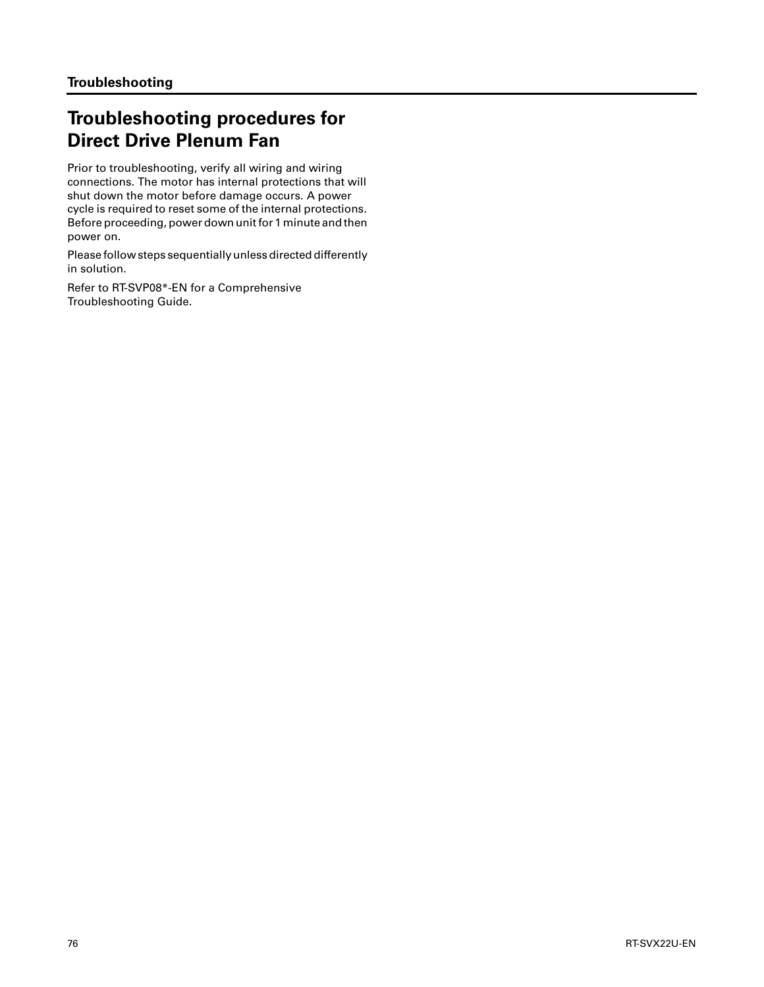# **Troubleshooting procedures for Direct Drive Plenum Fan**

Prior to troubleshooting, verify all wiring and wiring connections. The motor has internal protections that will shut down the motor before damage occurs. A power cycle is required to reset some of the internal protections. Before proceeding, power down unit for 1 minute and then power on.

Please follow steps sequentially unless directed differently in solution.

Refer to RT-SVP08\*-EN for a Comprehensive Troubleshooting Guide.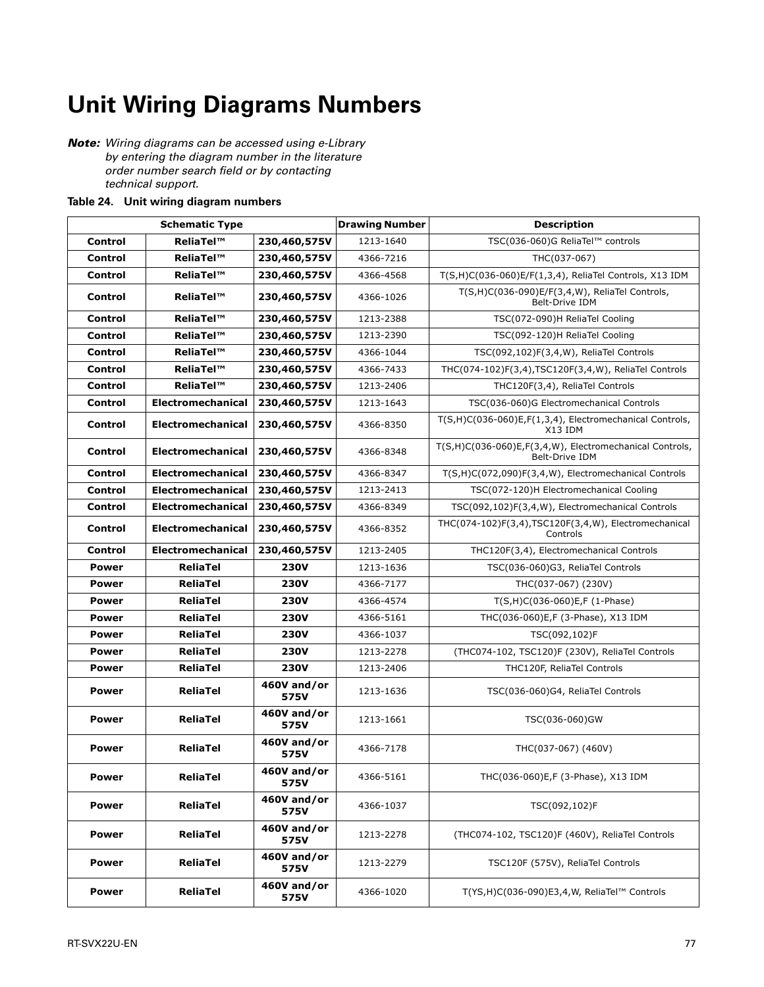# **Unit Wiring Diagrams Numbers**

*Note: Wiring diagrams can be accessed using e-Library by entering the diagram number in the literature order number search field or by contacting technical support.*

#### **Table 24. Unit wiring diagram numbers**

|                | <b>Schematic Type</b>    |                     | <b>Drawing Number</b> | <b>Description</b>                                                        |
|----------------|--------------------------|---------------------|-----------------------|---------------------------------------------------------------------------|
| Control        | ReliaTel™                | 230,460,575V        | 1213-1640             | TSC(036-060)G ReliaTel™ controls                                          |
| <b>Control</b> | ReliaTel™                | 230,460,575V        | 4366-7216             | THC(037-067)                                                              |
| <b>Control</b> | ReliaTel™                | 230,460,575V        | 4366-4568             | T(S,H)C(036-060)E/F(1,3,4), ReliaTel Controls, X13 IDM                    |
| Control        | ReliaTel™                | 230,460,575V        | 4366-1026             | T(S,H)C(036-090)E/F(3,4,W), ReliaTel Controls,<br>Belt-Drive IDM          |
| Control        | ReliaTel™                | 230,460,575V        | 1213-2388             | TSC(072-090)H ReliaTel Cooling                                            |
| Control        | ReliaTel™                | 230,460,575V        | 1213-2390             | TSC(092-120)H ReliaTel Cooling                                            |
| Control        | ReliaTel™                | 230,460,575V        | 4366-1044             | TSC(092,102)F(3,4,W), ReliaTel Controls                                   |
| Control        | ReliaTel™                | 230,460,575V        | 4366-7433             | THC(074-102)F(3,4),TSC120F(3,4,W), ReliaTel Controls                      |
| Control        | ReliaTel™                | 230,460,575V        | 1213-2406             | THC120F(3,4), ReliaTel Controls                                           |
| Control        | <b>Electromechanical</b> | 230,460,575V        | 1213-1643             | TSC(036-060)G Electromechanical Controls                                  |
| Control        | Electromechanical        | 230,460,575V        | 4366-8350             | T(S,H)C(036-060)E,F(1,3,4), Electromechanical Controls,<br>X13 IDM        |
| Control        | Electromechanical        | 230,460,575V        | 4366-8348             | T(S,H)C(036-060)E,F(3,4,W), Electromechanical Controls,<br>Belt-Drive IDM |
| <b>Control</b> | <b>Electromechanical</b> | 230,460,575V        | 4366-8347             | T(S,H)C(072,090)F(3,4,W), Electromechanical Controls                      |
| <b>Control</b> | <b>Electromechanical</b> | 230,460,575V        | 1213-2413             | TSC(072-120)H Electromechanical Cooling                                   |
| Control        | <b>Electromechanical</b> | 230,460,575V        | 4366-8349             | TSC(092,102)F(3,4,W), Electromechanical Controls                          |
| <b>Control</b> | Electromechanical        | 230,460,575V        | 4366-8352             | THC(074-102)F(3,4),TSC120F(3,4,W), Electromechanical<br>Controls          |
| Control        | Electromechanical        | 230,460,575V        | 1213-2405             | THC120F(3,4), Electromechanical Controls                                  |
| <b>Power</b>   | <b>ReliaTel</b>          | <b>230V</b>         | 1213-1636             | TSC(036-060)G3, ReliaTel Controls                                         |
| <b>Power</b>   | <b>ReliaTel</b>          | <b>230V</b>         | 4366-7177             | THC(037-067) (230V)                                                       |
| <b>Power</b>   | <b>ReliaTel</b>          | <b>230V</b>         | 4366-4574             | $T(S,H)C(036-060)E,F(1-Phase)$                                            |
| <b>Power</b>   | <b>ReliaTel</b>          | 230V                | 4366-5161             | THC(036-060)E,F (3-Phase), X13 IDM                                        |
| <b>Power</b>   | <b>ReliaTel</b>          | <b>230V</b>         | 4366-1037             | TSC(092,102)F                                                             |
| <b>Power</b>   | <b>ReliaTel</b>          | 230V                | 1213-2278             | (THC074-102, TSC120)F (230V), ReliaTel Controls                           |
| <b>Power</b>   | <b>ReliaTel</b>          | <b>230V</b>         | 1213-2406             | THC120F, ReliaTel Controls                                                |
| <b>Power</b>   | <b>ReliaTel</b>          | 460V and/or<br>575V | 1213-1636             | TSC(036-060)G4, ReliaTel Controls                                         |
| <b>Power</b>   | <b>ReliaTel</b>          | 460V and/or<br>575V | 1213-1661             | TSC(036-060)GW                                                            |
| <b>Power</b>   | <b>ReliaTel</b>          | 460V and/or<br>575V | 4366-7178             | THC(037-067) (460V)                                                       |
| Power          | ReliaTel                 | 460V and/or<br>575V | 4366-5161             | THC(036-060)E,F (3-Phase), X13 IDM                                        |
| <b>Power</b>   | <b>ReliaTel</b>          | 460V and/or<br>575V | 4366-1037             | TSC(092,102)F                                                             |
| <b>Power</b>   | <b>ReliaTel</b>          | 460V and/or<br>575V | 1213-2278             | (THC074-102, TSC120)F (460V), ReliaTel Controls                           |
| <b>Power</b>   | <b>ReliaTel</b>          | 460V and/or<br>575V | 1213-2279             | TSC120F (575V), ReliaTel Controls                                         |
| <b>Power</b>   | <b>ReliaTel</b>          | 460V and/or<br>575V | 4366-1020             | T(YS,H)C(036-090)E3,4,W, ReliaTel™ Controls                               |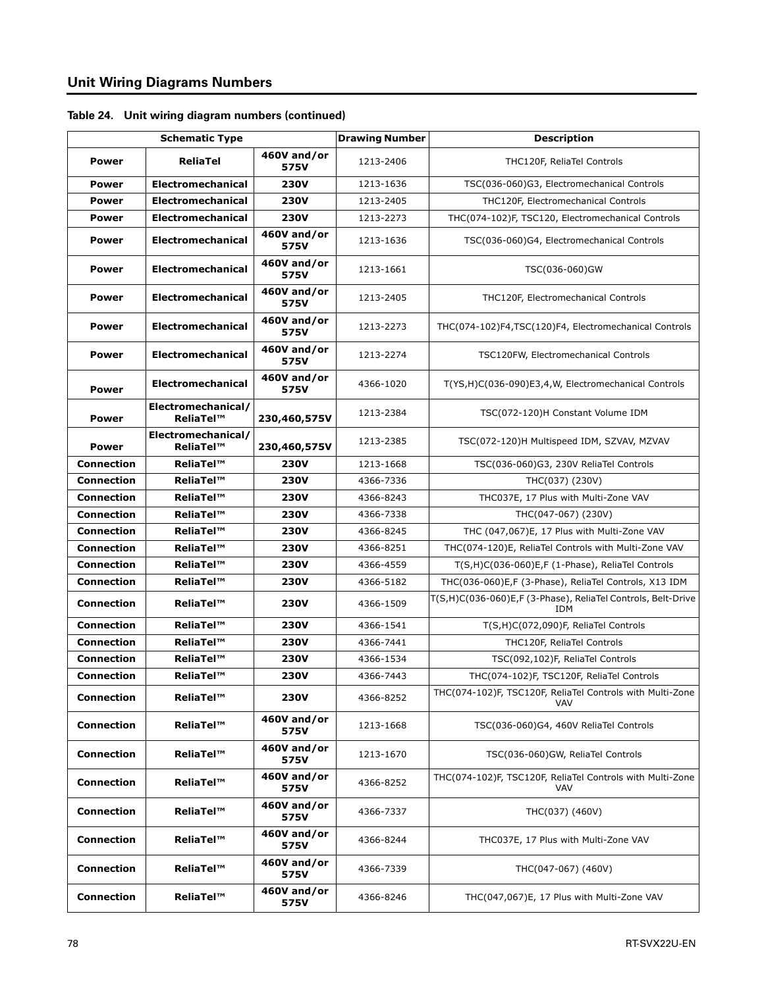|                   | <b>Schematic Type</b>           |                     | <b>Drawing Number</b> | <b>Description</b>                                                      |
|-------------------|---------------------------------|---------------------|-----------------------|-------------------------------------------------------------------------|
| <b>Power</b>      | <b>ReliaTel</b>                 | 460V and/or<br>575V | 1213-2406             | THC120F, ReliaTel Controls                                              |
| <b>Power</b>      | <b>Electromechanical</b>        | <b>230V</b>         | 1213-1636             | TSC(036-060)G3, Electromechanical Controls                              |
| <b>Power</b>      | <b>Electromechanical</b>        | <b>230V</b>         | 1213-2405             | THC120F, Electromechanical Controls                                     |
| <b>Power</b>      | <b>Electromechanical</b>        | <b>230V</b>         | 1213-2273             | THC(074-102)F, TSC120, Electromechanical Controls                       |
| <b>Power</b>      | <b>Electromechanical</b>        | 460V and/or<br>575V | 1213-1636             | TSC(036-060)G4, Electromechanical Controls                              |
| <b>Power</b>      | Electromechanical               | 460V and/or<br>575V | 1213-1661             | TSC(036-060)GW                                                          |
| <b>Power</b>      | <b>Electromechanical</b>        | 460V and/or<br>575V | 1213-2405             | THC120F, Electromechanical Controls                                     |
| <b>Power</b>      | <b>Electromechanical</b>        | 460V and/or<br>575V | 1213-2273             | THC(074-102)F4,TSC(120)F4, Electromechanical Controls                   |
| <b>Power</b>      | <b>Electromechanical</b>        | 460V and/or<br>575V | 1213-2274             | TSC120FW, Electromechanical Controls                                    |
| <b>Power</b>      | <b>Electromechanical</b>        | 460V and/or<br>575V | 4366-1020             | T(YS,H)C(036-090)E3,4,W, Electromechanical Controls                     |
| <b>Power</b>      | Electromechanical/<br>ReliaTel™ | 230,460,575V        | 1213-2384             | TSC(072-120)H Constant Volume IDM                                       |
| <b>Power</b>      | Electromechanical/<br>ReliaTel™ | 230,460,575V        | 1213-2385             | TSC(072-120)H Multispeed IDM, SZVAV, MZVAV                              |
| <b>Connection</b> | ReliaTel™                       | <b>230V</b>         | 1213-1668             | TSC(036-060)G3, 230V ReliaTel Controls                                  |
| <b>Connection</b> | ReliaTel™                       | <b>230V</b>         | 4366-7336             | THC(037) (230V)                                                         |
| <b>Connection</b> | ReliaTel™                       | <b>230V</b>         | 4366-8243             | THC037E, 17 Plus with Multi-Zone VAV                                    |
| <b>Connection</b> | ReliaTel™                       | <b>230V</b>         | 4366-7338             | THC(047-067) (230V)                                                     |
| <b>Connection</b> | ReliaTel™                       | <b>230V</b>         | 4366-8245             | THC (047,067)E, 17 Plus with Multi-Zone VAV                             |
| <b>Connection</b> | ReliaTel™                       | <b>230V</b>         | 4366-8251             | THC(074-120)E, ReliaTel Controls with Multi-Zone VAV                    |
| <b>Connection</b> | ReliaTel™                       | <b>230V</b>         | 4366-4559             | T(S,H)C(036-060)E,F (1-Phase), ReliaTel Controls                        |
| <b>Connection</b> | ReliaTel™                       | <b>230V</b>         | 4366-5182             | THC(036-060)E,F (3-Phase), ReliaTel Controls, X13 IDM                   |
| <b>Connection</b> | ReliaTel™                       | <b>230V</b>         | 4366-1509             | T(S,H)C(036-060)E,F (3-Phase), ReliaTel Controls, Belt-Drive<br>IDM     |
| <b>Connection</b> | ReliaTel™                       | <b>230V</b>         | 4366-1541             | T(S,H)C(072,090)F, ReliaTel Controls                                    |
| <b>Connection</b> | ReliaTel™                       | <b>230V</b>         | 4366-7441             | THC120F, ReliaTel Controls                                              |
| <b>Connection</b> | ReliaTel™                       | <b>230V</b>         | 4366-1534             | TSC(092,102)F, ReliaTel Controls                                        |
| <b>Connection</b> | ReliaTel™                       | <b>230V</b>         | 4366-7443             | THC(074-102)F, TSC120F, ReliaTel Controls                               |
| <b>Connection</b> | ReliaTel™                       | <b>230V</b>         | 4366-8252             | THC(074-102)F, TSC120F, ReliaTel Controls with Multi-Zone<br><b>VAV</b> |
| <b>Connection</b> | ReliaTel™                       | 460V and/or<br>575V | 1213-1668             | TSC(036-060)G4, 460V ReliaTel Controls                                  |
| <b>Connection</b> | ReliaTel™                       | 460V and/or<br>575V | 1213-1670             | TSC(036-060)GW, ReliaTel Controls                                       |
| <b>Connection</b> | ReliaTel™                       | 460V and/or<br>575V | 4366-8252             | THC(074-102)F, TSC120F, ReliaTel Controls with Multi-Zone<br><b>VAV</b> |
| <b>Connection</b> | ReliaTel™                       | 460V and/or<br>575V | 4366-7337             | THC(037) (460V)                                                         |
| <b>Connection</b> | ReliaTel™                       | 460V and/or<br>575V | 4366-8244             | THC037E, 17 Plus with Multi-Zone VAV                                    |
| <b>Connection</b> | ReliaTel™                       | 460V and/or<br>575V | 4366-7339             | THC(047-067) (460V)                                                     |
| <b>Connection</b> | ReliaTel™                       | 460V and/or<br>575V | 4366-8246             | THC(047,067)E, 17 Plus with Multi-Zone VAV                              |

#### **Table 24. Unit wiring diagram numbers (continued)**